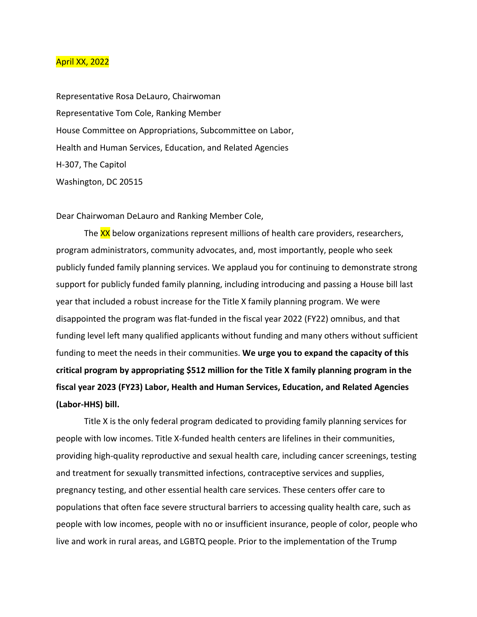## April XX, 2022

Representative Rosa DeLauro, Chairwoman Representative Tom Cole, Ranking Member House Committee on Appropriations, Subcommittee on Labor, Health and Human Services, Education, and Related Agencies H-307, The Capitol Washington, DC 20515

Dear Chairwoman DeLauro and Ranking Member Cole,

The XX below organizations represent millions of health care providers, researchers, program administrators, community advocates, and, most importantly, people who seek publicly funded family planning services. We applaud you for continuing to demonstrate strong support for publicly funded family planning, including introducing and passing a House bill last year that included a robust increase for the Title X family planning program. We were disappointed the program was flat-funded in the fiscal year 2022 (FY22) omnibus, and that funding level left many qualified applicants without funding and many others without sufficient funding to meet the needs in their communities. **We urge you to expand the capacity of this critical program by appropriating \$512 million for the Title X family planning program in the fiscal year 2023 (FY23) Labor, Health and Human Services, Education, and Related Agencies (Labor-HHS) bill.**

Title X is the only federal program dedicated to providing family planning services for people with low incomes. Title X-funded health centers are lifelines in their communities, providing high-quality reproductive and sexual health care, including cancer screenings, testing and treatment for sexually transmitted infections, contraceptive services and supplies, pregnancy testing, and other essential health care services. These centers offer care to populations that often face severe structural barriers to accessing quality health care, such as people with low incomes, people with no or insufficient insurance, people of color, people who live and work in rural areas, and LGBTQ people. Prior to the implementation of the Trump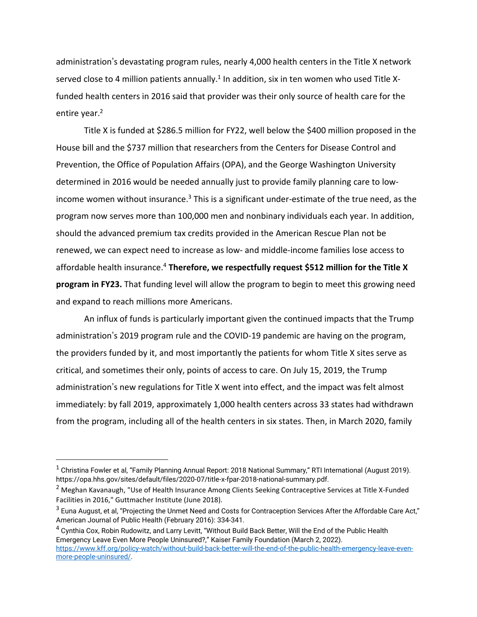administration's devastating program rules, nearly 4,000 health centers in the Title X network served close to 4 million patients annually.<sup>1</sup> In addition, six in ten women who used Title Xfunded health centers in 2016 said that provider was their only source of health care for the entire year.<sup>2</sup>

Title X is funded at \$286.5 million for FY22, well below the \$400 million proposed in the House bill and the \$737 million that researchers from the Centers for Disease Control and Prevention, the Office of Population Affairs (OPA), and the George Washington University determined in 2016 would be needed annually just to provide family planning care to lowincome women without insurance.<sup>3</sup> This is a significant under-estimate of the true need, as the program now serves more than 100,000 men and nonbinary individuals each year. In addition, should the advanced premium tax credits provided in the American Rescue Plan not be renewed, we can expect need to increase as low- and middle-income families lose access to affordable health insurance.<sup>4</sup> **Therefore, we respectfully request \$512 million for the Title X program in FY23.** That funding level will allow the program to begin to meet this growing need and expand to reach millions more Americans.

An influx of funds is particularly important given the continued impacts that the Trump administration's 2019 program rule and the COVID-19 pandemic are having on the program, the providers funded by it, and most importantly the patients for whom Title X sites serve as critical, and sometimes their only, points of access to care. On July 15, 2019, the Trump administration's new regulations for Title X went into effect, and the impact was felt almost immediately: by fall 2019, approximately 1,000 health centers across 33 states had withdrawn from the program, including all of the health centers in six states. Then, in March 2020, family

<sup>&</sup>lt;sup>1</sup> Christina Fowler et al, "Family Planning Annual Report: 2018 National Summary," RTI International (August 2019). https://opa.hhs.gov/sites/default/files/2020-07/title-x-fpar-2018-national-summary.pdf.

<sup>&</sup>lt;sup>2</sup> Meghan Kavanaugh, "Use of Health Insurance Among Clients Seeking Contraceptive Services at Title X-Funded Facilities in 2016," Guttmacher Institute (June 2018).

 $^3$  Euna August, et al, "Projecting the Unmet Need and Costs for Contraception Services After the Affordable Care Act," American Journal of Public Health (February 2016): 334-341.

<sup>4</sup> Cynthia Cox, Robin Rudowitz, and Larry Levitt, "Without Build Back Better, Will the End of the Public Health Emergency Leave Even More People Uninsured?," Kaiser Family Foundation (March 2, 2022). [https://www.kff.org/policy-watch/without-build-back-better-will-the-end-of-the-public-health-emergency-leave-even](https://www.kff.org/policy-watch/without-build-back-better-will-the-end-of-the-public-health-emergency-leave-even-more-people-uninsured/)[more-people-uninsured/.](https://www.kff.org/policy-watch/without-build-back-better-will-the-end-of-the-public-health-emergency-leave-even-more-people-uninsured/)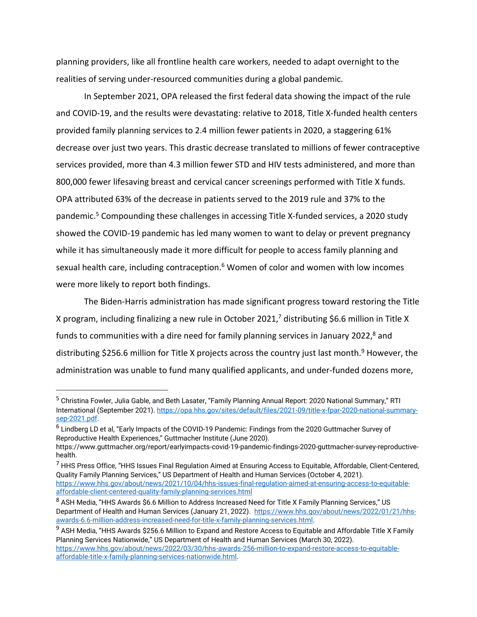planning providers, like all frontline health care workers, needed to adapt overnight to the realities of serving under-resourced communities during a global pandemic.

In September 2021, OPA released the first federal data showing the impact of the rule and COVID-19, and the results were devastating: relative to 2018, Title X-funded health centers provided family planning services to 2.4 million fewer patients in 2020, a staggering 61% decrease over just two years. This drastic decrease translated to millions of fewer contraceptive services provided, more than 4.3 million fewer STD and HIV tests administered, and more than 800,000 fewer lifesaving breast and cervical cancer screenings performed with Title X funds. OPA attributed 63% of the decrease in patients served to the 2019 rule and 37% to the pandemic.<sup>5</sup> Compounding these challenges in accessing Title X-funded services, a 2020 study showed the COVID-19 pandemic has led many women to want to delay or prevent pregnancy while it has simultaneously made it more difficult for people to access family planning and sexual health care, including contraception. $6$  Women of color and women with low incomes were more likely to report both findings.

The Biden-Harris administration has made significant progress toward restoring the Title X program, including finalizing a new rule in October 2021,<sup>7</sup> distributing \$6.6 million in Title X funds to communities with a dire need for family planning services in January 2022,<sup>8</sup> and distributing \$256.6 million for Title X projects across the country just last month.<sup>9</sup> However, the administration was unable to fund many qualified applicants, and under-funded dozens more,

<sup>5</sup> Christina Fowler, Julia Gable, and Beth Lasater, "Family Planning Annual Report: 2020 National Summary," RTI International (September 2021). [https://opa.hhs.gov/sites/default/files/2021-09/title-x-fpar-2020-national-summary](https://opa.hhs.gov/sites/default/files/2021-09/title-x-fpar-2020-national-summary-sep-2021.pdf)[sep-2021.pdf.](https://opa.hhs.gov/sites/default/files/2021-09/title-x-fpar-2020-national-summary-sep-2021.pdf)

<sup>&</sup>lt;sup>6</sup> Lindberg LD et al, "Early Impacts of the COVID-19 Pandemic: Findings from the 2020 Guttmacher Survey of Reproductive Health Experiences," Guttmacher Institute (June 2020).

https://www.guttmacher.org/report/earlyimpacts-covid-19-pandemic-findings-2020-guttmacher-survey-reproductivehealth.

<sup>7</sup> HHS Press Office, "HHS Issues Final Regulation Aimed at Ensuring Access to Equitable, Affordable, Client-Centered, Quality Family Planning Services," US Department of Health and Human Services (October 4, 2021). [https://www.hhs.gov/about/news/2021/10/04/hhs-issues-final-regulation-aimed-at-ensuring-access-to-equitable](https://www.hhs.gov/about/news/2021/10/04/hhs-issues-final-regulation-aimed-at-ensuring-access-to-equitable-affordable-client-centered-quality-family-planning-services.html)[affordable-client-centered-quality-family-planning-services.html](https://www.hhs.gov/about/news/2021/10/04/hhs-issues-final-regulation-aimed-at-ensuring-access-to-equitable-affordable-client-centered-quality-family-planning-services.html)

<sup>8</sup> ASH Media. "HHS Awards \$6.6 Million to Address Increased Need for Title X Family Planning Services," US Department of Health and Human Services (January 21, 2022). [https://www.hhs.gov/about/news/2022/01/21/hhs](https://www.hhs.gov/about/news/2022/01/21/hhs-awards-6.6-million-address-increased-need-for-title-x-family-planning-services.html)[awards-6.6-million-address-increased-need-for-title-x-family-planning-services.html.](https://www.hhs.gov/about/news/2022/01/21/hhs-awards-6.6-million-address-increased-need-for-title-x-family-planning-services.html)

<sup>&</sup>lt;sup>9</sup> ASH Media, "HHS Awards \$256.6 Million to Expand and Restore Access to Equitable and Affordable Title X Family Planning Services Nationwide," US Department of Health and Human Services (March 30, 2022). [https://www.hhs.gov/about/news/2022/03/30/hhs-awards-256-million-to-expand-restore-access-to-equitable](https://www.hhs.gov/about/news/2022/03/30/hhs-awards-256-million-to-expand-restore-access-to-equitable-affordable-title-x-family-planning-services-nationwide.html)[affordable-title-x-family-planning-services-nationwide.html.](https://www.hhs.gov/about/news/2022/03/30/hhs-awards-256-million-to-expand-restore-access-to-equitable-affordable-title-x-family-planning-services-nationwide.html)